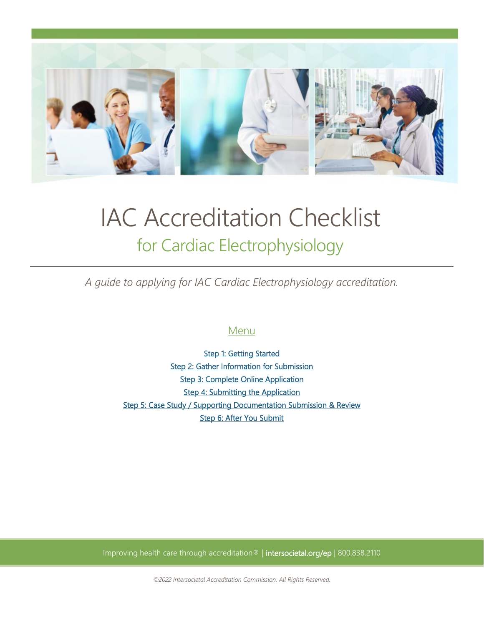

# IAC Accreditation Checklist for Cardiac Electrophysiology

*A guide to applying for IAC Cardiac Electrophysiology accreditation.*

# Menu

**Step 1: Getting Started** [Step 2: Gather Information for Submission](#page-1-1)  **Step 3: Complete Online Application Step 4: Submitting the Application** [Step 5: Case Study / Supporting Documentation Submission & Review](#page-3-2)  [Step 6: After You Submit](#page-4-0) 

Improving health care through accreditation® | intersocietal.org/ep | 800.838.2110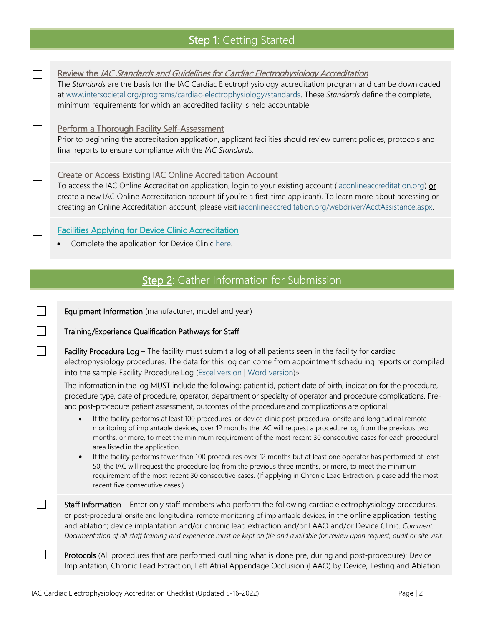# Step 1: Getting Started

<span id="page-1-0"></span>

 $\Box$ 

 $\Box$ 

<span id="page-1-1"></span> $\Box$ 

 $\Box$ 

П

Review the IAC Standards and Guidelines for Cardiac Electrophysiology Accreditation

The *Standards* are the basis for the IAC Cardiac Electrophysiology accreditation program and can be downloaded at [www.intersocietal.org/programs/cardiac-electrophysiology/standards.](https://www.intersocietal.org/programs/cardiac-electrophysiology/standards) These *Standards* define the complete, minimum requirements for which an accredited facility is held accountable.

#### Perform a Thorough Facility Self-Assessment

Prior to beginning the accreditation application, applicant facilities should review current policies, protocols and final reports to ensure compliance with the *IAC Standards*.

#### Create or Access Existing IAC Online Accreditation Account

To access the IAC Online Accreditation application, login to your existing account [\(iaconlineaccreditation.org\)](https://iaconlineaccreditation.org/) or create a new IAC Online Accreditation account (if you're a first-time applicant). To learn more about accessing or creating an Online Accreditation account, please visit [iaconlineaccreditation.org/webdriver/AcctAssistance.aspx.](https://iaconlineaccreditation.org/webdriver/AcctAssistance.aspx)

### Facilities Applying for Device Clinic Accreditation

• Complete the application for Device Clinic here.

## Step 2: Gather Information for Submission

Equipment Information (manufacturer, model and year)

#### Training/Experience Qualification Pathways for Staff

Facility Procedure Log - The facility must submit a log of all patients seen in the facility for cardiac electrophysiology procedures. The data for this log can come from appointment scheduling reports or compiled into the sample Facility Procedure Log (Excel version | Word version)»

The information in the log MUST include the following: patient id, patient date of birth, indication for the procedure, procedure type, date of procedure, oper[ator, departmen](https://intersocietal.org/document/facility-procedure-log-excel-version-cardiac-ep/)[t or specialty of](https://intersocietal.org/document/facility-procedure-log-word-version-cardiac-ep/) operator and procedure complications. Preand post-procedure patient assessment, outcomes of the procedure and complications are optional.

- If the facility performs at least 100 procedures, or device clinic post-procedural onsite and longitudinal remote monitoring of implantable devices, over 12 months the IAC will request a procedure log from the previous two months, or more, to meet the minimum requirement of the most recent 30 consecutive cases for each procedural area listed in the application.
- If the facility performs fewer than 100 procedures over 12 months but at least one operator has performed at least 50, the IAC will request the procedure log from the previous three months, or more, to meet the minimum requirement of the most recent 30 consecutive cases. (If applying in Chronic Lead Extraction, please add the most recent five consecutive cases.)

Staff Information – Enter only staff members who perform the following cardiac electrophysiology procedures, or post-procedural onsite and longitudinal remote monitoring of implantable devices, in the online application: testing and ablation; device implantation and/or chronic lead extraction and/or LAAO and/or Device Clinic. *Comment: Documentation of all staff training and experience must be kept on file and available for review upon request, audit or site visit.*

Protocols (All procedures that are performed outlining what is done pre, during and post-procedure): Device Implantation, Chronic Lead Extraction, Left Atrial Appendage Occlusion (LAAO) by Device, Testing and Ablation.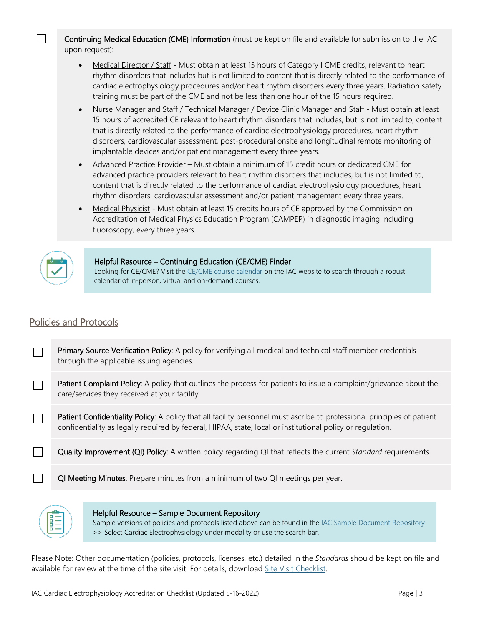Continuing Medical Education (CME) Information (must be kept on file and available for submission to the IAC upon request):

- Medical Director / Staff Must obtain at least 15 hours of Category I CME credits, relevant to heart rhythm disorders that includes but is not limited to content that is directly related to the performance of cardiac electrophysiology procedures and/or heart rhythm disorders every three years. Radiation safety training must be part of the CME and not be less than one hour of the 15 hours required.
- Nurse Manager and Staff / Technical Manager / Device Clinic Manager and Staff Must obtain at least 15 hours of accredited CE relevant to heart rhythm disorders that includes, but is not limited to, content that is directly related to the performance of cardiac electrophysiology procedures, heart rhythm disorders, cardiovascular assessment, post-procedural onsite and longitudinal remote monitoring of implantable devices and/or patient management every three years.
- Advanced Practice Provider Must obtain a minimum of 15 credit hours or dedicated CME for advanced practice providers relevant to heart rhythm disorders that includes, but is not limited to, content that is directly related to the performance of cardiac electrophysiology procedures, heart rhythm disorders, cardiovascular assessment and/or patient management every three years.
- Medical Physicist Must obtain at least 15 credits hours of CE approved by the Commission on Accreditation of Medical Physics Education Program (CAMPEP) in diagnostic imaging including fluoroscopy, every three years.



 $\Box$ 

#### Helpful Resource – Continuing Education (CE/CME) Finder

Looking for CE/CME? Visit the CE/CME course calendar on the IAC website to search through a robust calendar of in-person, virtual and on-demand courses.

## Policies and Protocols

Primary Source Verification Policy: A policy for verifying all medical and technical staff member credentials through the applicable issuing agencies.

Patient Complaint Policy: A policy tha[t outlines the process fo](https://intersocietal.org/courses/)r patients to issue a complaint/grievance about the care/services they received at your facility.

Patient Confidentiality Policy: A policy that all facility personnel must ascribe to professional principles of patient  $\Box$ confidentiality as legally required by federal, HIPAA, state, local or institutional policy or regulation.

П Quality Improvement (QI) Policy: A written policy regarding QI that reflects the current *Standard* requirements.

QI Meeting Minutes: Prepare minutes from a minimum of two QI meetings per year.



#### Helpful Resource – Sample Document Repository

Sample versions of policies and protocols listed above can be found in the IAC Sample Document Repository >> Select Cardiac Electrophysiology under modality or use the search bar.

Please Note: Other documentation (policies, protocols, licenses, etc.) detailed in the *Standards* should be kept on file and available for review at the time of the site visit. For details, download Site Visit Checklist.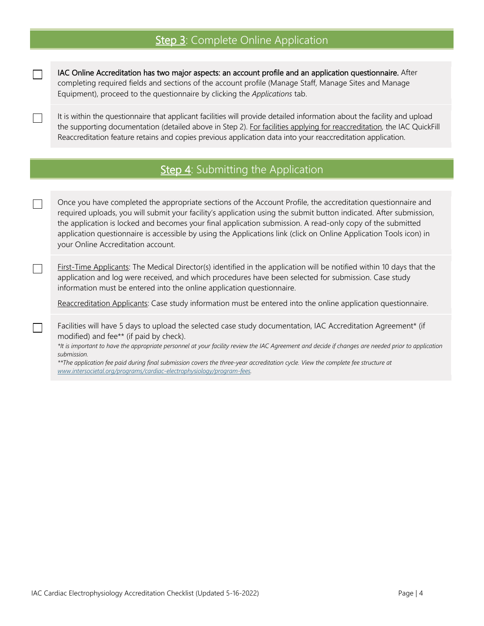## Step 3: Complete Online Application

IAC Online Accreditation has two major aspects: an account profile and an application questionnaire. After completing required fields and sections of the account profile (Manage Staff, [Manage Sites and Manage](https://intersocietal.org/helpful-resources/sample-documents-repository/)  Equipment), proceed to the questionnaire by clicking the *Applications* tab.

<span id="page-3-0"></span> $\Box$ 

<span id="page-3-1"></span> $\Box$ 

 $\Box$ 

 $\Box$ 

 $\mathbb{R}^n$ 

It is within the questionnaire that applicant facilities will provide detailed information about the facility and upload the supporting documentation (detailed above in Step 2). For [facilities applying for](https://intersocietal.org/document/site-visit-checklist-cardiac-electrophysiology/) reaccreditation, the IAC QuickFill Reaccreditation feature retains and copies previous application data into your reaccreditation application.

# Step 4: Submitting the Application

Once you have completed the appropriate sections of the Account Profile, the accreditation questionnaire and required uploads, you will submit your facility's application using the submit button indicated. After submission, the application is locked and becomes your final application submission. A read-only copy of the submitted application questionnaire is accessible by using the Applications link (click on Online Application Tools icon) in your Online Accreditation account.

First-Time Applicants: The Medical Director(s) identified in the application will be notified within 10 days that the application and log were received, and which procedures have been selected for submission. Case study information must be entered into the online application questionnaire.

Reaccreditation Applicants: Case study information must be entered into the online application questionnaire.

Facilities will have 5 days to upload the selected case study documentation, IAC Accreditation Agreement\* (if modified) and fee\*\* (if paid by check).

*\*It is important to have the appropriate personnel at your facility review the IAC Agreement and decide if changes are needed prior to application submission.* 

<span id="page-3-2"></span>*\*\*The application fee paid during final submission covers the three-year accreditation cycle. View the complete fee structure at www.intersocietal.org/programs/cardiac-electrophysiology/program-fees.*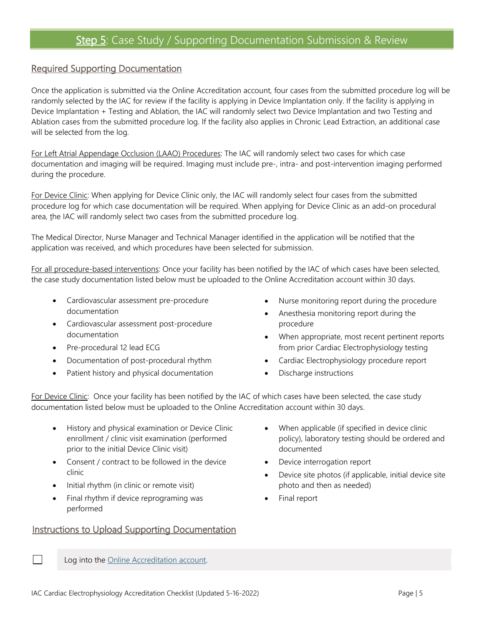## Required Supporting Documentation

Once the application is submitted via the Online Accreditation account, four cases from the submitted procedure log will be randomly selected by the IAC for review if the facility is applying in Device Implantation only. If the facility is applying in Device Implantation + Testing and Ablation, the IAC will randomly select two Device Implantation and two Testing and Ablation cases from the submitted procedure log. If the facility also applies in Chronic Lead Extraction, an additional case will be selected from the log.

For Left Atrial Appendage Occlusion (LAAO) Procedures: The IAC will randomly select two cases for which case documentation and imaging will be required. Imaging must include pre-, intra- and post-intervention imaging performed during the procedure.

For Device Clinic: When applying for Device Clinic only, the IAC will randomly select four cases from the submitted procedure log for which case documentation will be required. When applying for Device Clinic as an add-on procedural area, the IAC will randomly select two cases from the submitted procedure log.

The Medical Director, Nurse Manager and Technical Manager identified in the application will be notified that the application was received, and which procedures have been selected for submission.

For all procedure-based interventions: Once your facility has been notified by the IAC of which cases have been selected, the case study documentation listed below must be uploaded to the Online Accreditation account within 30 days.

- Cardiovascular assessment pre-procedure documentation
- Cardiovascular assessment post-procedure documentation
- Pre-procedural 12 lead ECG
- Documentation of post-procedural rhythm
- Patient history and physical documentation
- Nurse monitoring report during the procedure
- Anesthesia monitoring report during the procedure
- When appropriate, most recent pertinent reports from prior Cardiac Electrophysiology testing
- Cardiac Electrophysiology procedure report
- Discharge instructions

<span id="page-4-0"></span>For Device Clinic: Once your facility has been notified by the IAC of which cases have been selected, the case study documentation listed below must be uploaded to the Online Accreditation account within 30 days.

- History and physical examination or Device Clinic enrollment / clinic visit examination (performed prior to the initial Device Clinic visit)
- Consent / contract to be followed in the device clinic
- Initial rhythm (in clinic or remote visit)
- Final rhythm if device reprograming was performed

## Instructions to Upload Supporting Documentation

- When applicable (if specified in device clinic policy), laboratory testing should be ordered and documented
- Device interrogation report
- Device site photos (if applicable, initial device site photo and then as needed)
- Final report

Log into the [Online Accreditation account.](https://iaconlineaccreditation.org/webdriver/login.aspx)

 $\Box$